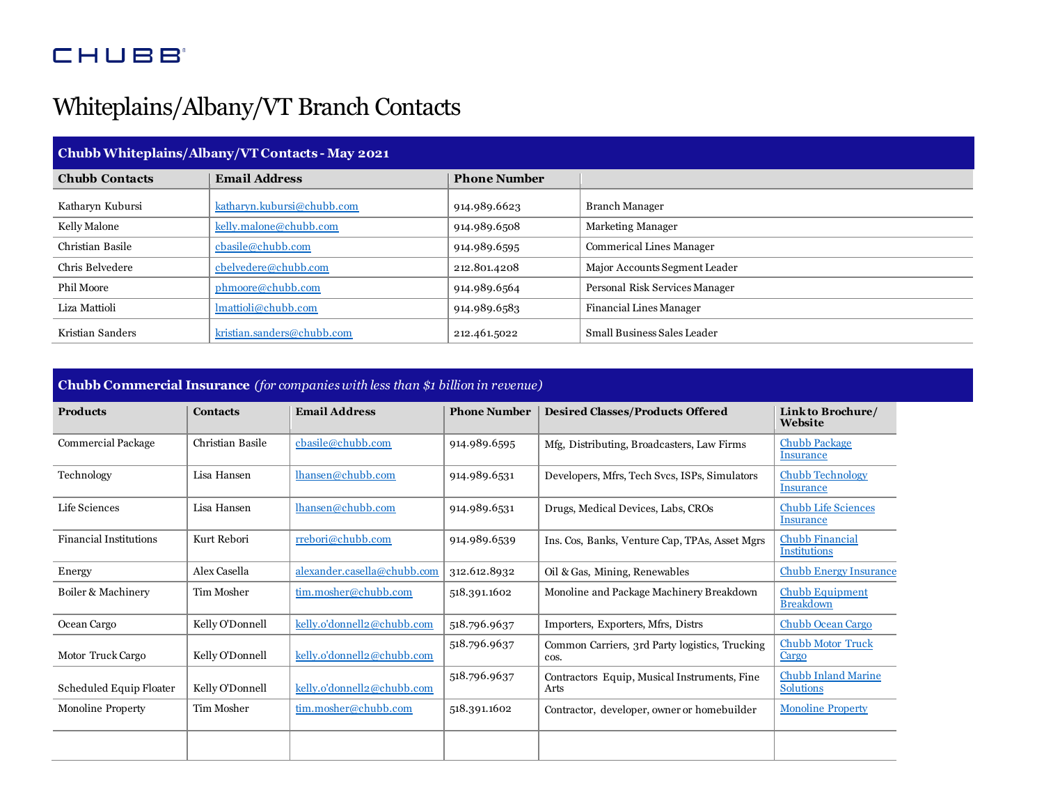## **CHUBB**

## Whiteplains/Albany/VT Branch Contacts

| Chubb Whiteplains/Albany/VT Contacts - May 2021 |                                       |                     |                                 |  |  |
|-------------------------------------------------|---------------------------------------|---------------------|---------------------------------|--|--|
| <b>Chubb Contacts</b>                           | <b>Email Address</b>                  | <b>Phone Number</b> |                                 |  |  |
| Katharyn Kubursi                                | katharyn.kubursi@chubb.com            | 914.989.6623        | <b>Branch Manager</b>           |  |  |
| Kelly Malone                                    | kelly.malone@chubb.com                | 914.989.6508        | <b>Marketing Manager</b>        |  |  |
| Christian Basile                                | $\text{cbaseline}\& \text{chubb.com}$ | 914.989.6595        | <b>Commerical Lines Manager</b> |  |  |
| Chris Belvedere                                 | cbelvedere@chubb.com                  | 212.801.4208        | Major Accounts Segment Leader   |  |  |
| <b>Phil Moore</b>                               | phmoore@chubb.com                     | 914.989.6564        | Personal Risk Services Manager  |  |  |
| Liza Mattioli                                   | lmattioli@chubb.com                   | 914.989.6583        | Financial Lines Manager         |  |  |
| Kristian Sanders                                | kristian.sanders@chubb.com            | 212.461.5022        | Small Business Sales Leader     |  |  |

**Chubb Commercial Insurance** *(for companies with less than \$1 billion in revenue)*

| <b>Products</b>               | <b>Contacts</b>  | <b>Email Address</b>        | <b>Phone Number</b> | <b>Desired Classes/Products Offered</b>                | Link to Brochure/<br>Website                   |
|-------------------------------|------------------|-----------------------------|---------------------|--------------------------------------------------------|------------------------------------------------|
| <b>Commercial Package</b>     | Christian Basile | cbasile@chubb.com           | 914.989.6595        | Mfg, Distributing, Broadcasters, Law Firms             | <b>Chubb Package</b><br>Insurance              |
| Technology                    | Lisa Hansen      | lhansen@chubb.com           | 914.989.6531        | Developers, Mfrs, Tech Svcs, ISPs, Simulators          | <b>Chubb Technology</b><br>Insurance           |
| Life Sciences                 | Lisa Hansen      | lhansen@chubb.com           | 914.989.6531        | Drugs, Medical Devices, Labs, CROs                     | <b>Chubb Life Sciences</b><br>Insurance        |
| <b>Financial Institutions</b> | Kurt Rebori      | rrebori@chubb.com           | 914.989.6539        | Ins. Cos, Banks, Venture Cap, TPAs, Asset Mgrs         | <b>Chubb Financial</b><br><b>Institutions</b>  |
| Energy                        | Alex Casella     | alexander.casella@chubb.com | 312.612.8932        | Oil & Gas, Mining, Renewables                          | <b>Chubb Energy Insurance</b>                  |
| Boiler & Machinery            | Tim Mosher       | tim.mosher@chubb.com        | 518.391.1602        | Monoline and Package Machinery Breakdown               | <b>Chubb Equipment</b><br><b>Breakdown</b>     |
| Ocean Cargo                   | Kelly O'Donnell  | kelly.o'donnell2@chubb.com  | 518.796.9637        | Importers, Exporters, Mfrs, Distrs                     | <b>Chubb Ocean Cargo</b>                       |
| Motor Truck Cargo             | Kelly O'Donnell  | kelly.o'donnell2@chubb.com  | 518.796.9637        | Common Carriers, 3rd Party logistics, Trucking<br>cos. | <b>Chubb Motor Truck</b><br>Cargo              |
| Scheduled Equip Floater       | Kelly O'Donnell  | kelly.o'donnell2@chubb.com  | 518.796.9637        | Contractors Equip, Musical Instruments, Fine<br>Arts   | <b>Chubb Inland Marine</b><br><b>Solutions</b> |
| <b>Monoline Property</b>      | Tim Mosher       | tim.mosher@chubb.com        | 518.391.1602        | Contractor, developer, owner or homebuilder            | <b>Monoline Property</b>                       |
|                               |                  |                             |                     |                                                        |                                                |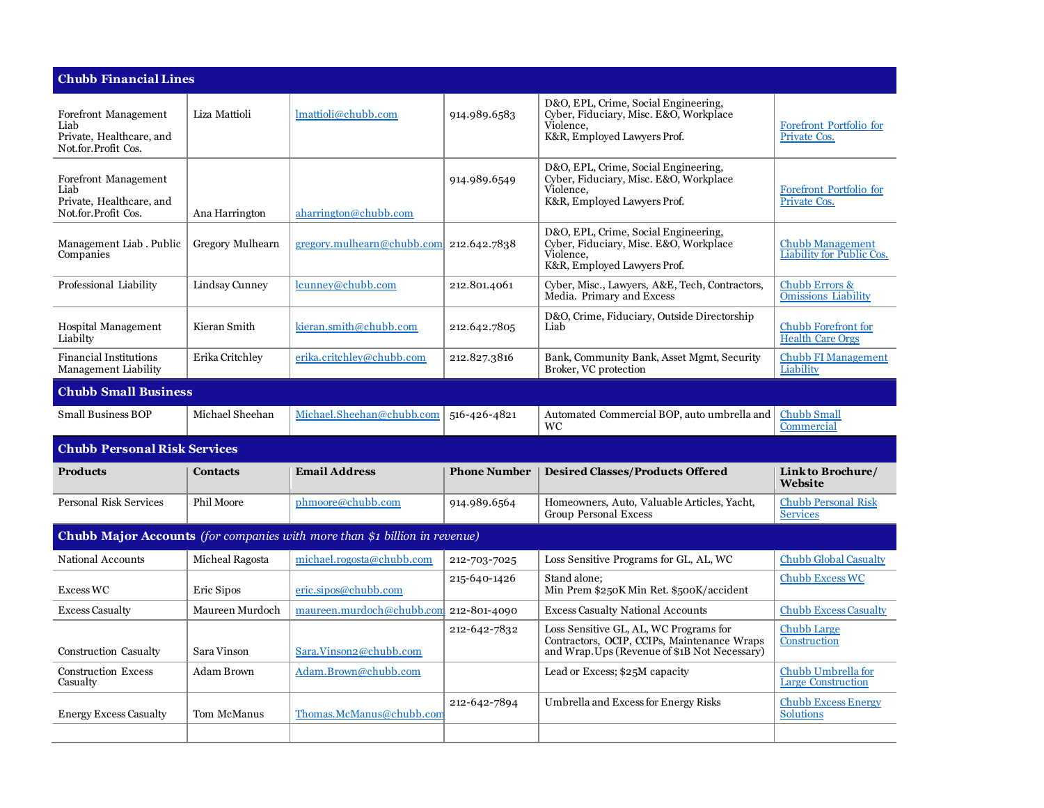| <b>Chubb Financial Lines</b>                                                      |                   |                            |                     |                                                                                                                                        |                                                             |  |
|-----------------------------------------------------------------------------------|-------------------|----------------------------|---------------------|----------------------------------------------------------------------------------------------------------------------------------------|-------------------------------------------------------------|--|
| Forefront Management<br>Liab<br>Private, Healthcare, and<br>Not.for.Profit Cos.   | Liza Mattioli     | lmattioli@chubb.com        | 914.989.6583        | D&O, EPL, Crime, Social Engineering,<br>Cyber, Fiduciary, Misc. E&O, Workplace<br>Violence.<br>K&R, Employed Lawyers Prof.             | Forefront Portfolio for<br>Private Cos.                     |  |
| Forefront Management<br>Liab<br>Private, Healthcare, and<br>Not.for.Profit Cos.   | Ana Harrington    | aharrington@chubb.com      | 914.989.6549        | D&O, EPL, Crime, Social Engineering,<br>Cyber, Fiduciary, Misc. E&O, Workplace<br>Violence.<br>K&R, Employed Lawyers Prof.             | Forefront Portfolio for<br>Private Cos.                     |  |
| Management Liab. Public<br>Companies                                              | Gregory Mulhearn  | gregory.mulhearn@chubb.com | 212.642.7838        | D&O, EPL, Crime, Social Engineering,<br>Cyber, Fiduciary, Misc. E&O, Workplace<br>Violence.<br>K&R, Employed Lawyers Prof.             | <b>Chubb Management</b><br><b>Liability for Public Cos.</b> |  |
| Professional Liability                                                            | Lindsay Cunney    | lcunney@chubb.com          | 212.801.4061        | Cyber, Misc., Lawyers, A&E, Tech, Contractors,<br>Media. Primary and Excess                                                            | Chubb Errors &<br><b>Omissions Liability</b>                |  |
| <b>Hospital Management</b><br>Liabilty                                            | Kieran Smith      | kieran.smith@chubb.com     | 212.642.7805        | D&O, Crime, Fiduciary, Outside Directorship<br>Liab                                                                                    | <b>Chubb Forefront for</b><br><b>Health Care Orgs</b>       |  |
| <b>Financial Institutions</b><br>Management Liability                             | Erika Critchley   | erika.critchlev@chubb.com  | 212.827.3816        | Bank, Community Bank, Asset Mgmt, Security<br>Broker, VC protection                                                                    | <b>Chubb FI Management</b><br>Liability                     |  |
| <b>Chubb Small Business</b>                                                       |                   |                            |                     |                                                                                                                                        |                                                             |  |
| <b>Small Business BOP</b>                                                         | Michael Sheehan   | Michael.Sheehan@chubb.com  | 516-426-4821        | Automated Commercial BOP, auto umbrella and<br><b>WC</b>                                                                               | <b>Chubb Small</b><br>Commercial                            |  |
| <b>Chubb Personal Risk Services</b>                                               |                   |                            |                     |                                                                                                                                        |                                                             |  |
| <b>Products</b>                                                                   | <b>Contacts</b>   | <b>Email Address</b>       | <b>Phone Number</b> | <b>Desired Classes/Products Offered</b>                                                                                                | Link to Brochure/<br>Website                                |  |
| <b>Personal Risk Services</b>                                                     | <b>Phil Moore</b> | phmoore@chubb.com          | 914.989.6564        | Homeowners, Auto, Valuable Articles, Yacht,<br><b>Group Personal Excess</b>                                                            | <b>Chubb Personal Risk</b><br><b>Services</b>               |  |
| <b>Chubb Major Accounts</b> (for companies with more than \$1 billion in revenue) |                   |                            |                     |                                                                                                                                        |                                                             |  |
| National Accounts                                                                 | Micheal Ragosta   | michael.rogosta@chubb.com  | 212-703-7025        | Loss Sensitive Programs for GL, AL, WC                                                                                                 | <b>Chubb Global Casualty</b>                                |  |
| <b>Excess WC</b>                                                                  | Eric Sipos        | eric.sipos@chubb.com       | 215-640-1426        | Stand alone:<br>Min Prem \$250K Min Ret. \$500K/accident                                                                               | <b>Chubb Excess WC</b>                                      |  |
| <b>Excess Casualty</b>                                                            | Maureen Murdoch   | maureen.murdoch@chubb.com  | 212-801-4090        | <b>Excess Casualty National Accounts</b>                                                                                               | <b>Chubb Excess Casualty</b>                                |  |
| Construction Casualty                                                             | Sara Vinson       | Sara.Vinson2@chubb.com     | 212-642-7832        | Loss Sensitive GL, AL, WC Programs for<br>Contractors, OCIP, CCIPs, Maintenance Wraps<br>and Wrap. Ups (Revenue of \$1B Not Necessary) | <b>Chubb Large</b><br>Construction                          |  |
| <b>Construction Excess</b><br>Casualty                                            | Adam Brown        | Adam.Brown@chubb.com       |                     | Lead or Excess; \$25M capacity                                                                                                         | Chubb Umbrella for<br><b>Large Construction</b>             |  |
| <b>Energy Excess Casualty</b>                                                     | Tom McManus       | Thomas.McManus@chubb.com   | 212-642-7894        | Umbrella and Excess for Energy Risks                                                                                                   | <b>Chubb Excess Energy</b><br><b>Solutions</b>              |  |
|                                                                                   |                   |                            |                     |                                                                                                                                        |                                                             |  |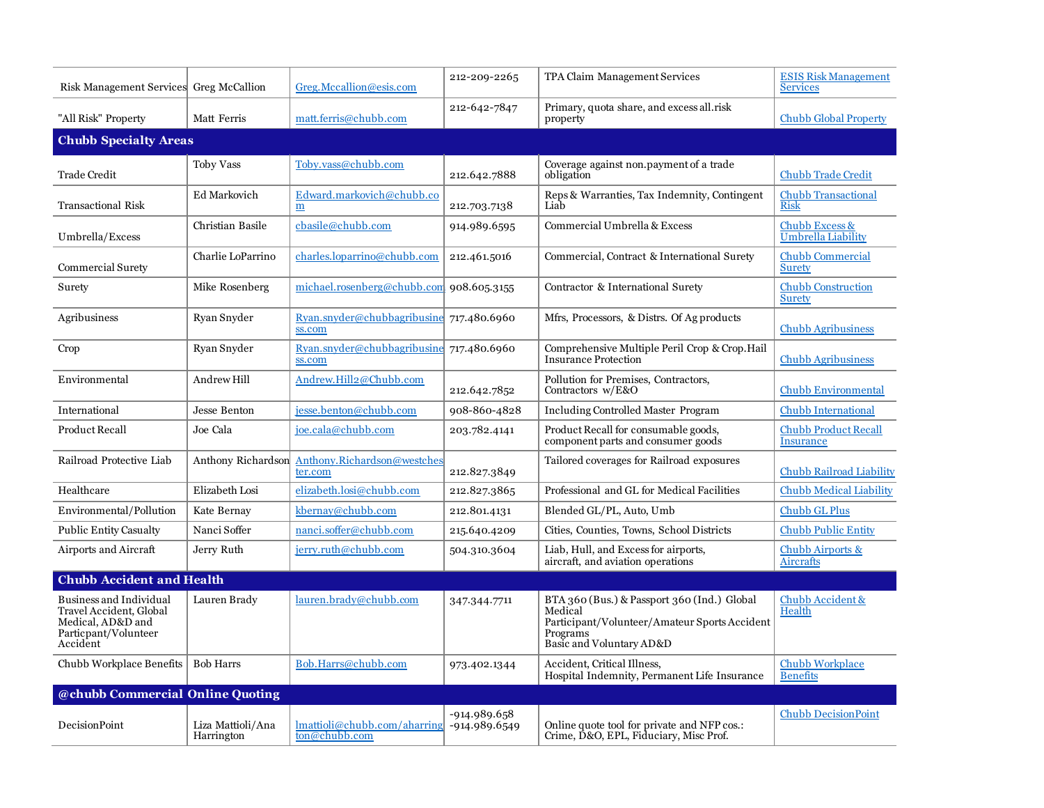| Risk Management Services Greg McCallion                                                                            |                                 | Greg.Mccallion@esis.com                                                  | 212-209-2265                  | TPA Claim Management Services                                                                                                                   | <b>ESIS Risk Management</b><br><b>Services</b>  |  |
|--------------------------------------------------------------------------------------------------------------------|---------------------------------|--------------------------------------------------------------------------|-------------------------------|-------------------------------------------------------------------------------------------------------------------------------------------------|-------------------------------------------------|--|
| "All Risk" Property                                                                                                | Matt Ferris                     | matt.ferris@chubb.com                                                    | 212-642-7847                  | Primary, quota share, and excess all.risk<br>property                                                                                           | <b>Chubb Global Property</b>                    |  |
| <b>Chubb Specialty Areas</b>                                                                                       |                                 |                                                                          |                               |                                                                                                                                                 |                                                 |  |
| <b>Trade Credit</b>                                                                                                | <b>Toby Vass</b>                | Toby.vass@chubb.com                                                      | 212.642.7888                  | Coverage against non.payment of a trade<br>obligation                                                                                           | <b>Chubb Trade Credit</b>                       |  |
| <b>Transactional Risk</b>                                                                                          | <b>Ed Markovich</b>             | Edward.markovich@chubb.co<br>m                                           | 212.703.7138                  | Reps & Warranties, Tax Indemnity, Contingent<br>Liab                                                                                            | <b>Chubb Transactional</b><br><b>Risk</b>       |  |
| Umbrella/Excess                                                                                                    | Christian Basile                | cbasile@chubb.com                                                        | 914.989.6595                  | Commercial Umbrella & Excess                                                                                                                    | Chubb Excess &<br>Umbrella Liability            |  |
| Commercial Surety                                                                                                  | Charlie LoParrino               | charles.loparrino@chubb.com                                              | 212.461.5016                  | Commercial, Contract & International Surety                                                                                                     | <b>Chubb Commercial</b><br><b>Surety</b>        |  |
| Surety                                                                                                             | Mike Rosenberg                  | michael.rosenberg@chubb.com 908.605.3155                                 |                               | Contractor & International Surety                                                                                                               | <b>Chubb Construction</b><br><b>Surety</b>      |  |
| Agribusiness                                                                                                       | Ryan Snyder                     | Ryan.snyder@chubbagribusine<br>ss.com                                    | 717.480.6960                  | Mfrs, Processors, & Distrs. Of Ag products                                                                                                      | <b>Chubb Agribusiness</b>                       |  |
| Crop                                                                                                               | Ryan Snyder                     | Ryan.snyder@chubbagribusine<br>ss.com                                    | 717.480.6960                  | Comprehensive Multiple Peril Crop & Crop. Hail<br><b>Insurance Protection</b>                                                                   | <b>Chubb Agribusiness</b>                       |  |
| Environmental                                                                                                      | Andrew Hill                     | Andrew.Hill2@Chubb.com                                                   | 212.642.7852                  | Pollution for Premises, Contractors,<br>Contractors w/E&O                                                                                       | <b>Chubb Environmental</b>                      |  |
| International                                                                                                      | Jesse Benton                    | jesse.benton@chubb.com                                                   | 908-860-4828                  | <b>Including Controlled Master Program</b>                                                                                                      | <b>Chubb International</b>                      |  |
| <b>Product Recall</b>                                                                                              | Joe Cala                        | joe.cala@chubb.com                                                       | 203.782.4141                  | Product Recall for consumable goods,<br>component parts and consumer goods                                                                      | <b>Chubb Product Recall</b><br><b>Insurance</b> |  |
| Railroad Protective Liab                                                                                           | Anthony Richardson              | Anthony.Richardson@westches<br>ter.com                                   | 212.827.3849                  | Tailored coverages for Railroad exposures                                                                                                       | Chubb Railroad Liability                        |  |
| Healthcare                                                                                                         | Elizabeth Losi                  | elizabeth.losi@chubb.com                                                 | 212.827.3865                  | Professional and GL for Medical Facilities                                                                                                      | <b>Chubb Medical Liability</b>                  |  |
| Environmental/Pollution                                                                                            | Kate Bernay                     | kbernay@chubb.com                                                        | 212.801.4131                  | Blended GL/PL, Auto, Umb                                                                                                                        | <b>Chubb GL Plus</b>                            |  |
| <b>Public Entity Casualty</b>                                                                                      | Nanci Soffer                    | nanci.soffer@chubb.com                                                   | 215.640.4209                  | Cities, Counties, Towns, School Districts                                                                                                       | <b>Chubb Public Entity</b>                      |  |
| Airports and Aircraft                                                                                              | Jerry Ruth                      | jerry.ruth@chubb.com                                                     | 504.310.3604                  | Liab, Hull, and Excess for airports,<br>aircraft, and aviation operations                                                                       | Chubb Airports &<br><b>Aircrafts</b>            |  |
| <b>Chubb Accident and Health</b>                                                                                   |                                 |                                                                          |                               |                                                                                                                                                 |                                                 |  |
| <b>Business and Individual</b><br>Travel Accident, Global<br>Medical, AD&D and<br>Particpant/Volunteer<br>Accident | Lauren Brady                    | lauren.brady@chubb.com                                                   | 347.344.7711                  | BTA 360 (Bus.) & Passport 360 (Ind.) Global<br>Medical<br>Participant/Volunteer/Amateur Sports Accident<br>Programs<br>Basic and Voluntary AD&D | Chubb Accident &<br>Health                      |  |
| Chubb Workplace Benefits                                                                                           | <b>Bob Harrs</b>                | Bob.Harrs@chubb.com                                                      | 973.402.1344                  | Accident, Critical Illness,<br>Hospital Indemnity, Permanent Life Insurance                                                                     | <b>Chubb Workplace</b><br><b>Benefits</b>       |  |
| @chubb Commercial Online Quoting                                                                                   |                                 |                                                                          |                               |                                                                                                                                                 |                                                 |  |
| <b>DecisionPoint</b>                                                                                               | Liza Mattioli/Ana<br>Harrington | lmattioli@chubb.com/aharring<br>$\overline{\text{ton}\text{@chubb.com}}$ | -914.989.658<br>-914.989.6549 | Online quote tool for private and NFP cos.:<br>Crime, D&O, EPL, Fiduciary, Misc Prof.                                                           | <b>Chubb DecisionPoint</b>                      |  |